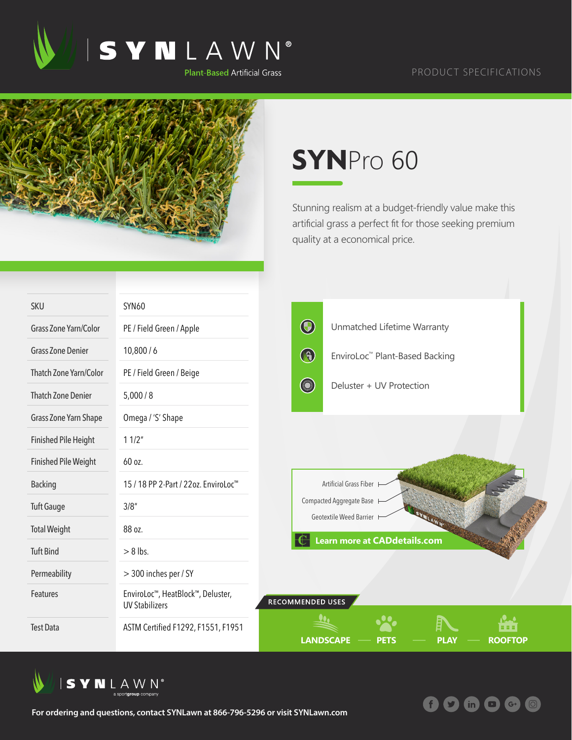

## PRODUCT SPECIFICATIONS



## **SYN**Pro 60

Stunning realism at a budget-friendly value make this artificial grass a perfect fit for those seeking premium quality at a economical price.

**什り** 

 $\overline{m}$   $\overline{m}$   $\overline{G}$ 

 $\overline{(\mathcal{O})}$ 

| <b>SKU</b>                   | <b>SYN60</b>                                               |                                                                           |  |  |
|------------------------------|------------------------------------------------------------|---------------------------------------------------------------------------|--|--|
| <b>Grass Zone Yarn/Color</b> | PE / Field Green / Apple                                   | $\bigcirc$<br>Unmatched Lifetime Warranty                                 |  |  |
| <b>Grass Zone Denier</b>     | 10,800/6                                                   | $\bigcirc$<br>EnviroLoc™ Plant-Based Backing                              |  |  |
| Thatch Zone Yarn/Color       | PE / Field Green / Beige                                   |                                                                           |  |  |
| <b>Thatch Zone Denier</b>    | 5,000/8                                                    | <b>Company</b><br>Deluster + UV Protection                                |  |  |
| Grass Zone Yarn Shape        | Omega / 'S' Shape                                          |                                                                           |  |  |
| <b>Finished Pile Height</b>  | 11/2"                                                      |                                                                           |  |  |
| <b>Finished Pile Weight</b>  | 60 oz.                                                     |                                                                           |  |  |
| <b>Backing</b>               | 15 / 18 PP 2-Part / 22oz. EnviroLoc <sup>™</sup>           | Artificial Grass Fiber                                                    |  |  |
| <b>Tuft Gauge</b>            | 3/8''                                                      | Compacted Aggregate Base H<br>Geotextile Weed Barrier I                   |  |  |
| <b>Total Weight</b>          | 88 oz.                                                     |                                                                           |  |  |
| <b>Tuft Bind</b>             | $> 8$ lbs.                                                 | <b>Learn more at CADdetails.com</b>                                       |  |  |
| Permeability                 | > 300 inches per / SY                                      |                                                                           |  |  |
| Features                     | EnviroLoc™, HeatBlock™, Deluster,<br><b>UV Stabilizers</b> | RECOMMENDED USES                                                          |  |  |
| <b>Test Data</b>             | ASTM Certified F1292, F1551, F1951                         | 8 S S<br><b>LANDSCAPE</b><br><b>PLAY</b><br><b>ROOFTOP</b><br><b>PETS</b> |  |  |



**For ordering and questions, contact SYNLawn at 866-796-5296 or visit SYNLawn.com**